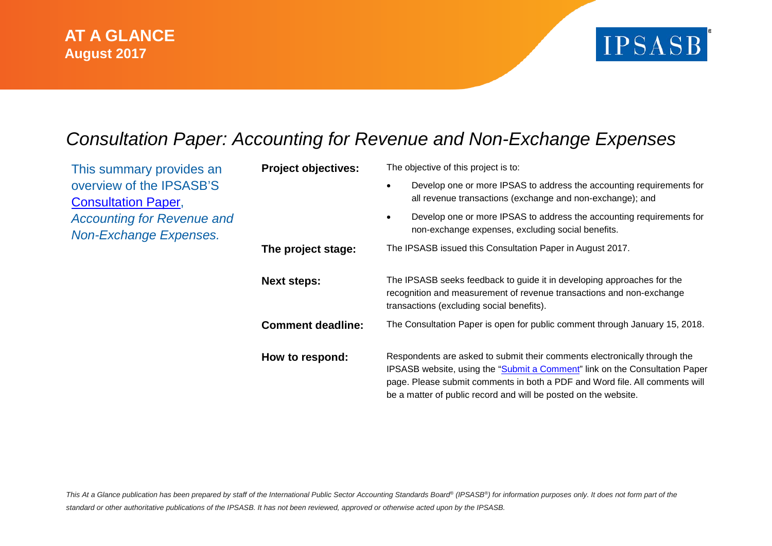

## *Consultation Paper: Accounting for Revenue and Non-Exchange Expenses*

| This summary provides an                                    | <b>Project objectives:</b> | The objective of this project is to:                                                                                                                                                                                                                                                                       |  |
|-------------------------------------------------------------|----------------------------|------------------------------------------------------------------------------------------------------------------------------------------------------------------------------------------------------------------------------------------------------------------------------------------------------------|--|
| overview of the IPSASB'S<br><b>Consultation Paper,</b>      |                            | Develop one or more IPSAS to address the accounting requirements for<br>all revenue transactions (exchange and non-exchange); and                                                                                                                                                                          |  |
| <b>Accounting for Revenue and</b><br>Non-Exchange Expenses. |                            | Develop one or more IPSAS to address the accounting requirements for<br>non-exchange expenses, excluding social benefits.                                                                                                                                                                                  |  |
|                                                             | The project stage:         | The IPSASB issued this Consultation Paper in August 2017.                                                                                                                                                                                                                                                  |  |
|                                                             | <b>Next steps:</b>         | The IPSASB seeks feedback to guide it in developing approaches for the<br>recognition and measurement of revenue transactions and non-exchange<br>transactions (excluding social benefits).                                                                                                                |  |
|                                                             | <b>Comment deadline:</b>   | The Consultation Paper is open for public comment through January 15, 2018.                                                                                                                                                                                                                                |  |
|                                                             | How to respond:            | Respondents are asked to submit their comments electronically through the<br>IPSASB website, using the "Submit a Comment" link on the Consultation Paper<br>page. Please submit comments in both a PDF and Word file. All comments will<br>be a matter of public record and will be posted on the website. |  |

This At a Glance publication has been prepared by staff of the International Public Sector Accounting Standards Board<sup>®</sup> (IPSASB<sup>®</sup>) for information purposes only. It does not form part of the *standard or other authoritative publications of the IPSASB. It has not been reviewed, approved or otherwise acted upon by the IPSASB.*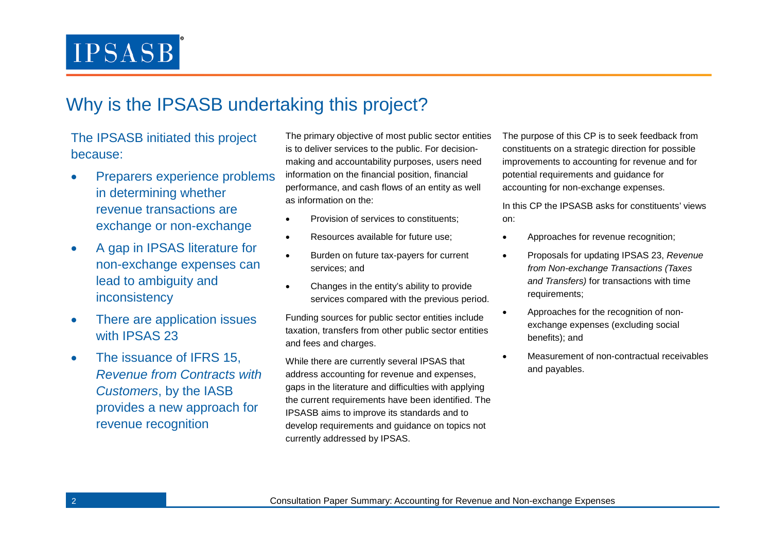## Why is the IPSASB undertaking this project?

### The IPSASB initiated this project because:

- Preparers experience problems in determining whether revenue transactions are exchange or non-exchange
- A gap in IPSAS literature for non-exchange expenses can lead to ambiguity and inconsistency
- There are application issues with IPSAS 23
- The issuance of IFRS 15, *Revenue from Contracts with Customers*, by the IASB provides a new approach for revenue recognition

The primary objective of most public sector entities is to deliver services to the public. For decisionmaking and accountability purposes, users need information on the financial position, financial performance, and cash flows of an entity as well as information on the:

- Provision of services to constituents;
- Resources available for future use:
- Burden on future tax-payers for current services; and
- Changes in the entity's ability to provide services compared with the previous period.

Funding sources for public sector entities include taxation, transfers from other public sector entities and fees and charges.

While there are currently several IPSAS that address accounting for revenue and expenses, gaps in the literature and difficulties with applying the current requirements have been identified. The IPSASB aims to improve its standards and to develop requirements and guidance on topics not currently addressed by IPSAS.

The purpose of this CP is to seek feedback from constituents on a strategic direction for possible improvements to accounting for revenue and for potential requirements and guidance for accounting for non-exchange expenses.

In this CP the IPSASB asks for constituents' views on:

- Approaches for revenue recognition:
- Proposals for updating IPSAS 23, *Revenue from Non-exchange Transactions (Taxes and Transfers)* for transactions with time requirements;
- Approaches for the recognition of nonexchange expenses (excluding social benefits); and
- Measurement of non-contractual receivables and payables.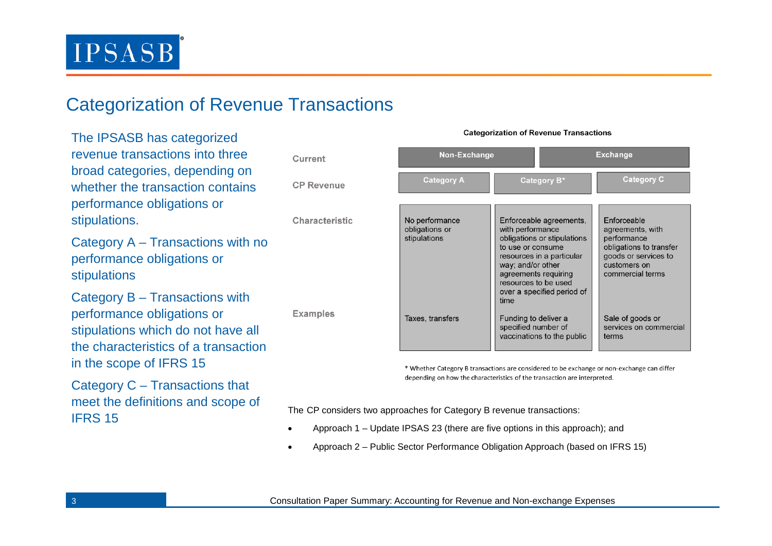## Categorization of Revenue Transactions

The IPSASB has categorized revenue transactions into three broad categories, depending on whether the transaction contains performance obligations or stipulations.

Category A – Transactions with no performance obligations or stipulations

Category B – Transactions with performance obligations or stipulations which do not have all the characteristics of a transaction in the scope of IFRS 15

Category C – Transactions that meet the definitions and scope of IFRS 15<br>IFRS 15

| Current           | Non-Exchange                                     |                                                                                                                                                                                                                                         | <b>Exchange</b>                                                                                                                       |
|-------------------|--------------------------------------------------|-----------------------------------------------------------------------------------------------------------------------------------------------------------------------------------------------------------------------------------------|---------------------------------------------------------------------------------------------------------------------------------------|
| <b>CP Revenue</b> | <b>Category A</b>                                | Category B*                                                                                                                                                                                                                             | <b>Category C</b>                                                                                                                     |
| Characteristic    | No performance<br>obligations or<br>stipulations | Enforceable agreements,<br>with performance<br>obligations or stipulations<br>to use or consume<br>resources in a particular<br>way; and/or other<br>agreements requiring<br>resources to be used<br>over a specified period of<br>time | Enforceable<br>agreements, with<br>performance<br>obligations to transfer<br>goods or services to<br>customers on<br>commercial terms |
| <b>Examples</b>   | Taxes, transfers                                 | Funding to deliver a<br>specified number of<br>vaccinations to the public                                                                                                                                                               | Sale of goods or<br>services on commercial<br>terms                                                                                   |
|                   |                                                  | * Whather Category R transactions are considered to be exchange or non-exchange san differ                                                                                                                                              |                                                                                                                                       |

**Categorization of Revenue Transactions** 

isactions are considered to be exchange or non-exchange car depending on how the characteristics of the transaction are interpreted.

- Approach 1 Update IPSAS 23 (there are five options in this approach); and
- Approach 2 Public Sector Performance Obligation Approach (based on IFRS 15)

3 Consultation Paper Summary: Accounting for Revenue and Non-exchange Expenses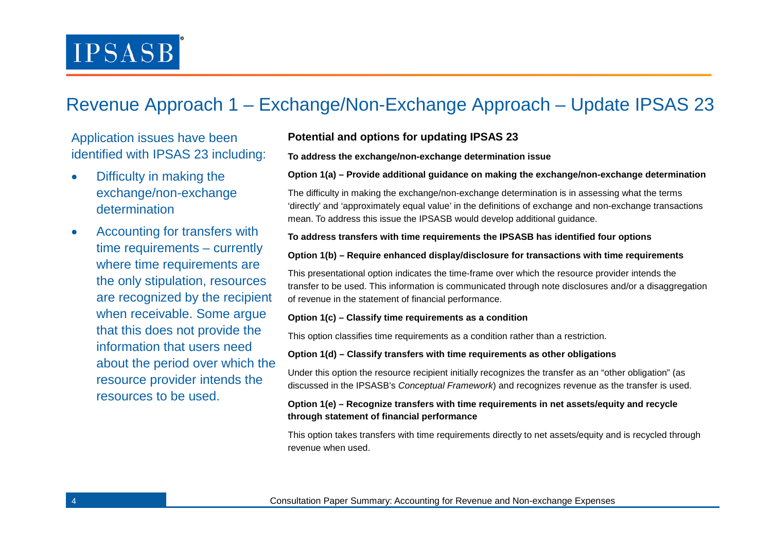## Revenue Approach 1 – Exchange/Non-Exchange Approach – Update IPSAS 23

### Application issues have been identified with IPSAS 23 including:

- Difficulty in making the exchange/non-exchange determination
- Accounting for transfers with time requirements – currently where time requirements are the only stipulation, resources are recognized by the recipient when receivable. Some argue that this does not provide the information that users need about the period over which the resource provider intends the resources to be used.

### **Potential and options for updating IPSAS 23**

### **To address the exchange/non-exchange determination issue**

### **Option 1(a) – Provide additional guidance on making the exchange/non-exchange determination**

The difficulty in making the exchange/non-exchange determination is in assessing what the terms 'directly' and 'approximately equal value' in the definitions of exchange and non-exchange transactions mean. To address this issue the IPSASB would develop additional guidance.

### **To address transfers with time requirements the IPSASB has identified four options**

### **Option 1(b) – Require enhanced display/disclosure for transactions with time requirements**

This presentational option indicates the time-frame over which the resource provider intends the transfer to be used. This information is communicated through note disclosures and/or a disaggregation of revenue in the statement of financial performance.

### **Option 1(c) – Classify time requirements as a condition**

This option classifies time requirements as a condition rather than a restriction.

#### **Option 1(d) – Classify transfers with time requirements as other obligations**

Under this option the resource recipient initially recognizes the transfer as an "other obligation" (as discussed in the IPSASB's *Conceptual Framework*) and recognizes revenue as the transfer is used.

### **Option 1(e) – Recognize transfers with time requirements in net assets/equity and recycle through statement of financial performance**

This option takes transfers with time requirements directly to net assets/equity and is recycled through revenue when used.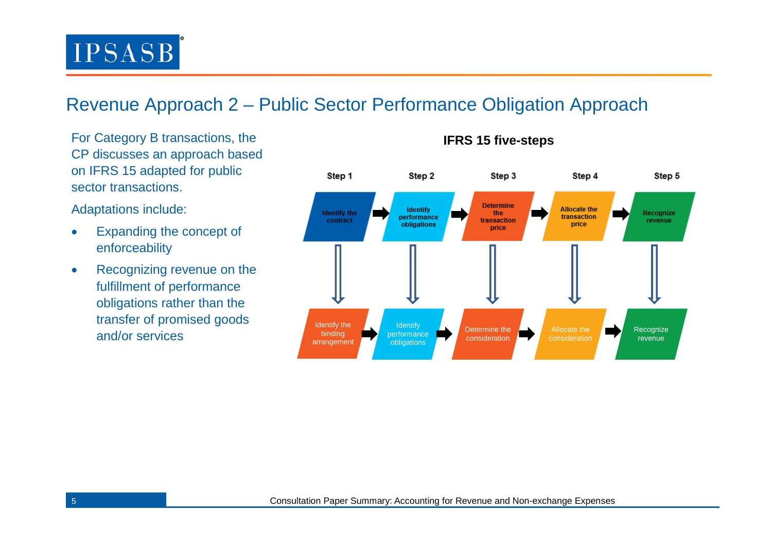## Revenue Approach 2 – Public Sector Performance Obligation Approach

For Category B transactions, the CP discusses an approach based on IFRS 15 adapted for public sector transactions.

Adaptations include:

- Expanding the concept of enforceability
- Recognizing revenue on the fulfillment of performance obligations rather than the transfer of promised goods and/or services



**IFRS 15 five-steps**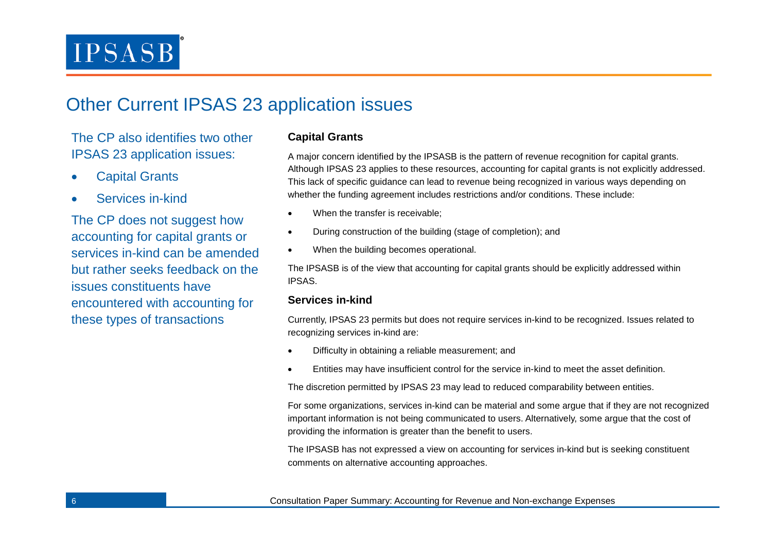### Other Current IPSAS 23 application issues

The CP also identifies two other IPSAS 23 application issues:

- **Capital Grants**
- Services in-kind

The CP does not suggest how accounting for capital grants or services in-kind can be amended but rather seeks feedback on the issues constituents have encountered with accounting for these types of transactions

### **Capital Grants**

A major concern identified by the IPSASB is the pattern of revenue recognition for capital grants. Although IPSAS 23 applies to these resources, accounting for capital grants is not explicitly addressed. This lack of specific guidance can lead to revenue being recognized in various ways depending on whether the funding agreement includes restrictions and/or conditions. These include:

- When the transfer is receivable;
- During construction of the building (stage of completion); and
- When the building becomes operational.

The IPSASB is of the view that accounting for capital grants should be explicitly addressed within IPSAS.

### **Services in-kind**

Currently, IPSAS 23 permits but does not require services in-kind to be recognized. Issues related to recognizing services in-kind are:

- Difficulty in obtaining a reliable measurement; and
- Entities may have insufficient control for the service in-kind to meet the asset definition.

The discretion permitted by IPSAS 23 may lead to reduced comparability between entities.

For some organizations, services in-kind can be material and some argue that if they are not recognized important information is not being communicated to users. Alternatively, some argue that the cost of providing the information is greater than the benefit to users.

The IPSASB has not expressed a view on accounting for services in-kind but is seeking constituent comments on alternative accounting approaches.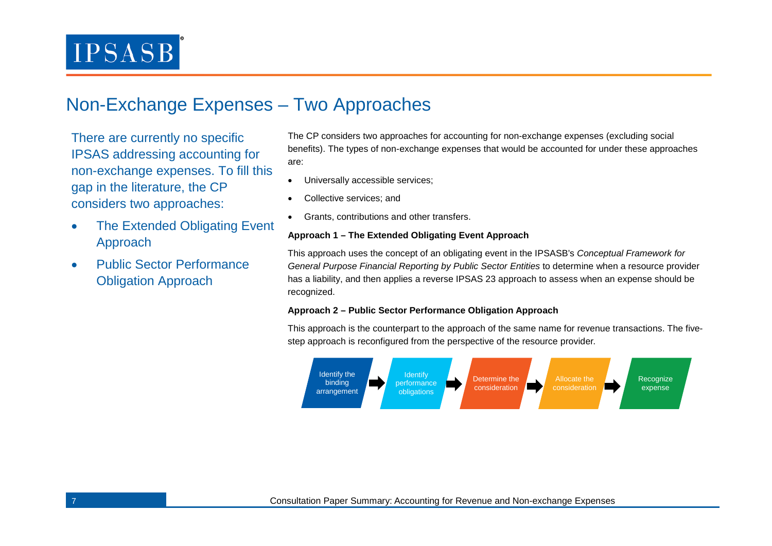## Non-Exchange Expenses – Two Approaches

There are currently no specific IPSAS addressing accounting for non-exchange expenses. To fill this gap in the literature, the CP considers two approaches:

- The Extended Obligating Event Approach
- Public Sector Performance Obligation Approach

The CP considers two approaches for accounting for non-exchange expenses (excluding social benefits). The types of non-exchange expenses that would be accounted for under these approaches are:

- Universally accessible services;
- Collective services; and
- Grants, contributions and other transfers.

### **Approach 1 – The Extended Obligating Event Approach**

This approach uses the concept of an obligating event in the IPSASB's *Conceptual Framework for General Purpose Financial Reporting by Public Sector Entities* to determine when a resource provider has a liability, and then applies a reverse IPSAS 23 approach to assess when an expense should be recognized.

### **Approach 2 – Public Sector Performance Obligation Approach**

This approach is the counterpart to the approach of the same name for revenue transactions. The fivestep approach is reconfigured from the perspective of the resource provider.

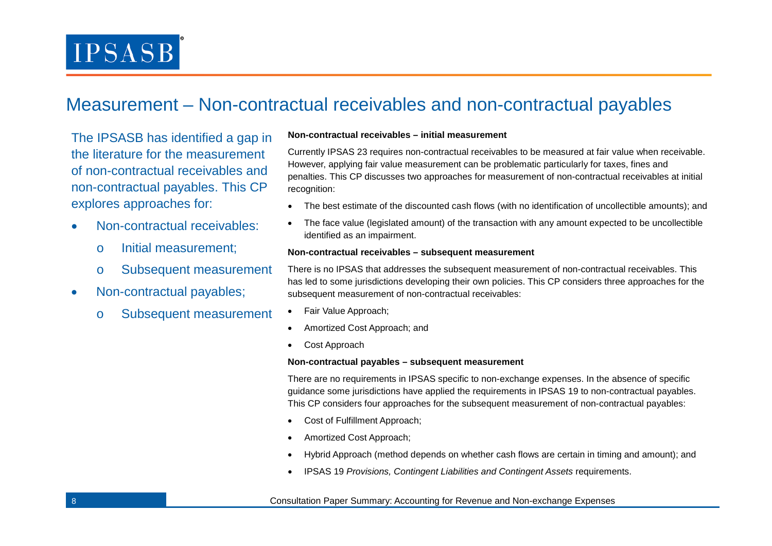## Measurement – Non-contractual receivables and non-contractual payables

The IPSASB has identified a gap in the literature for the measurement of non-contractual receivables and non-contractual payables. This CP explores approaches for:

- Non-contractual receivables:
	- o Initial measurement;
	- o Subsequent measurement
- Non-contractual payables;
	- o Subsequent measurement

#### **Non-contractual receivables – initial measurement**

Currently IPSAS 23 requires non-contractual receivables to be measured at fair value when receivable. However, applying fair value measurement can be problematic particularly for taxes, fines and penalties. This CP discusses two approaches for measurement of non-contractual receivables at initial recognition:

- The best estimate of the discounted cash flows (with no identification of uncollectible amounts); and
- The face value (legislated amount) of the transaction with any amount expected to be uncollectible identified as an impairment.

#### **Non-contractual receivables – subsequent measurement**

There is no IPSAS that addresses the subsequent measurement of non-contractual receivables. This has led to some jurisdictions developing their own policies. This CP considers three approaches for the subsequent measurement of non-contractual receivables:

- Fair Value Approach;
- Amortized Cost Approach; and
- Cost Approach

#### **Non-contractual payables – subsequent measurement**

There are no requirements in IPSAS specific to non-exchange expenses. In the absence of specific guidance some jurisdictions have applied the requirements in IPSAS 19 to non-contractual payables. This CP considers four approaches for the subsequent measurement of non-contractual payables:

- Cost of Fulfillment Approach;
- Amortized Cost Approach;
- Hybrid Approach (method depends on whether cash flows are certain in timing and amount); and
- IPSAS 19 *Provisions, Contingent Liabilities and Contingent Assets* requirements.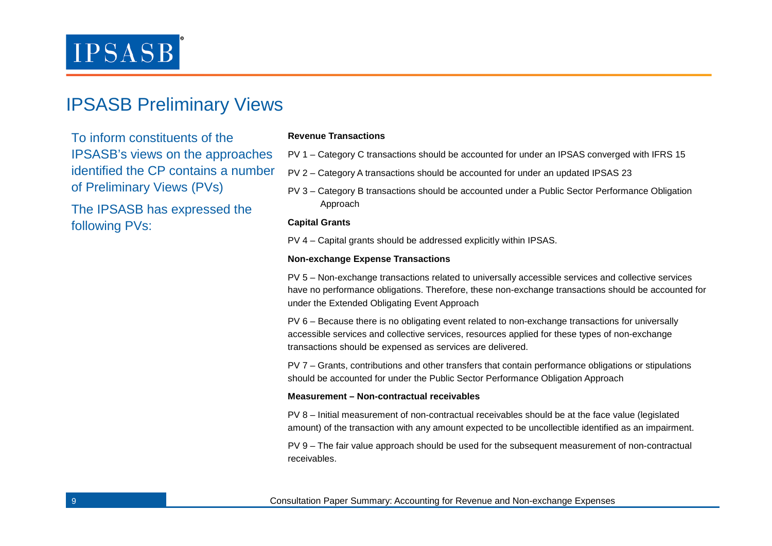### IPSASB Preliminary Views

To inform constituents of the IPSASB's views on the approaches identified the CP contains a number of Preliminary Views (PVs)

The IPSASB has expressed the following PVs:

### **Revenue Transactions**

- PV 1 Category C transactions should be accounted for under an IPSAS converged with IFRS 15
- PV 2 Category A transactions should be accounted for under an updated IPSAS 23
- PV 3 Category B transactions should be accounted under a Public Sector Performance Obligation Approach

#### **Capital Grants**

PV 4 – Capital grants should be addressed explicitly within IPSAS.

#### **Non-exchange Expense Transactions**

PV 5 – Non-exchange transactions related to universally accessible services and collective services have no performance obligations. Therefore, these non-exchange transactions should be accounted for under the Extended Obligating Event Approach

PV 6 – Because there is no obligating event related to non-exchange transactions for universally accessible services and collective services, resources applied for these types of non-exchange transactions should be expensed as services are delivered.

PV 7 – Grants, contributions and other transfers that contain performance obligations or stipulations should be accounted for under the Public Sector Performance Obligation Approach

#### **Measurement – Non-contractual receivables**

PV 8 – Initial measurement of non-contractual receivables should be at the face value (legislated amount) of the transaction with any amount expected to be uncollectible identified as an impairment.

PV 9 – The fair value approach should be used for the subsequent measurement of non-contractual receivables.